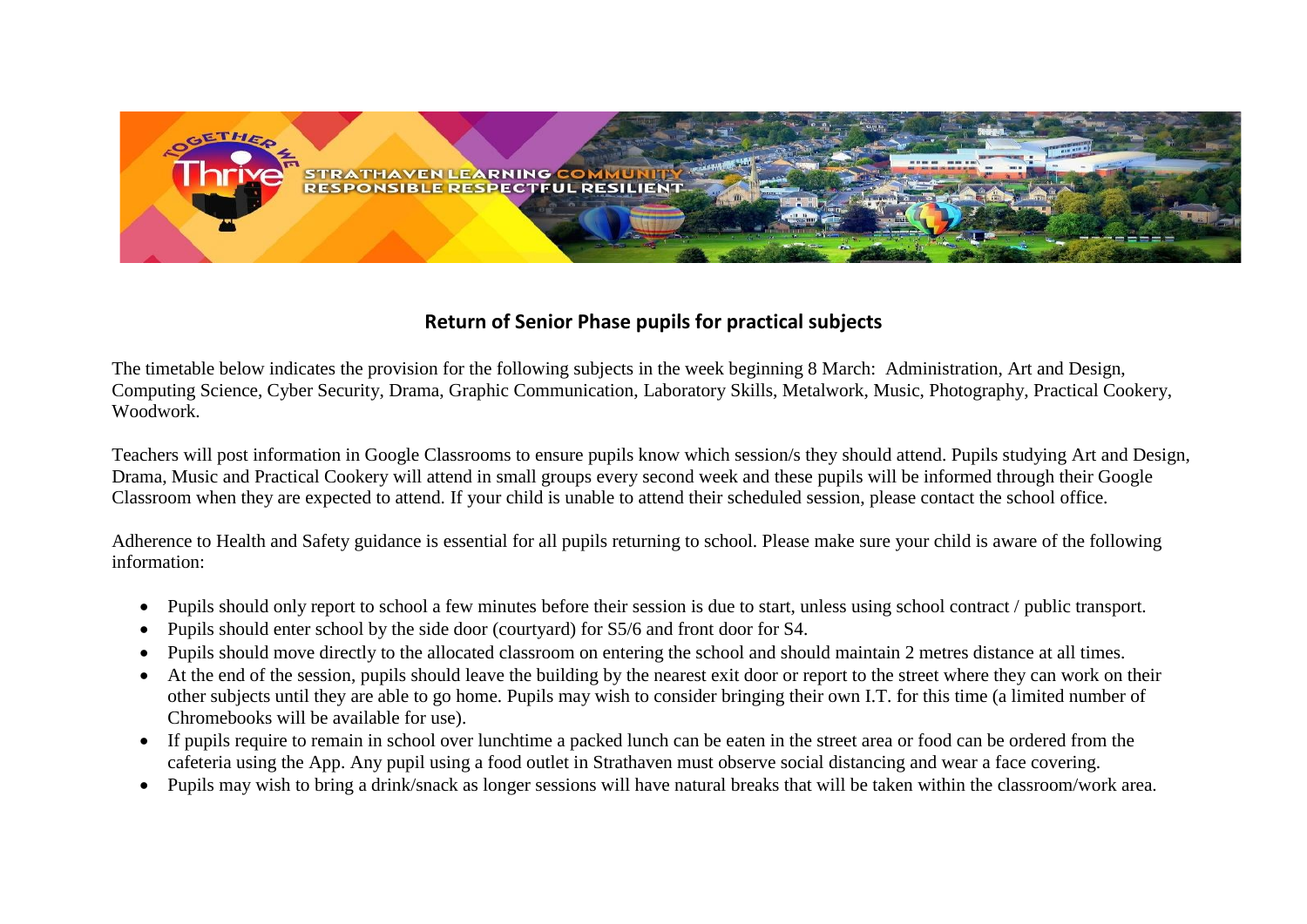

## **Return of Senior Phase pupils for practical subjects**

The timetable below indicates the provision for the following subjects in the week beginning 8 March: Administration, Art and Design, Computing Science, Cyber Security, Drama, Graphic Communication, Laboratory Skills, Metalwork, Music, Photography, Practical Cookery, Woodwork.

Teachers will post information in Google Classrooms to ensure pupils know which session/s they should attend. Pupils studying Art and Design, Drama, Music and Practical Cookery will attend in small groups every second week and these pupils will be informed through their Google Classroom when they are expected to attend. If your child is unable to attend their scheduled session, please contact the school office.

Adherence to Health and Safety guidance is essential for all pupils returning to school. Please make sure your child is aware of the following information:

- Pupils should only report to school a few minutes before their session is due to start, unless using school contract / public transport.
- Pupils should enter school by the side door (courtyard) for S5/6 and front door for S4.
- Pupils should move directly to the allocated classroom on entering the school and should maintain 2 metres distance at all times.
- At the end of the session, pupils should leave the building by the nearest exit door or report to the street where they can work on their other subjects until they are able to go home. Pupils may wish to consider bringing their own I.T. for this time (a limited number of Chromebooks will be available for use).
- If pupils require to remain in school over lunchtime a packed lunch can be eaten in the street area or food can be ordered from the cafeteria using the App. Any pupil using a food outlet in Strathaven must observe social distancing and wear a face covering.
- Pupils may wish to bring a drink/snack as longer sessions will have natural breaks that will be taken within the classroom/work area.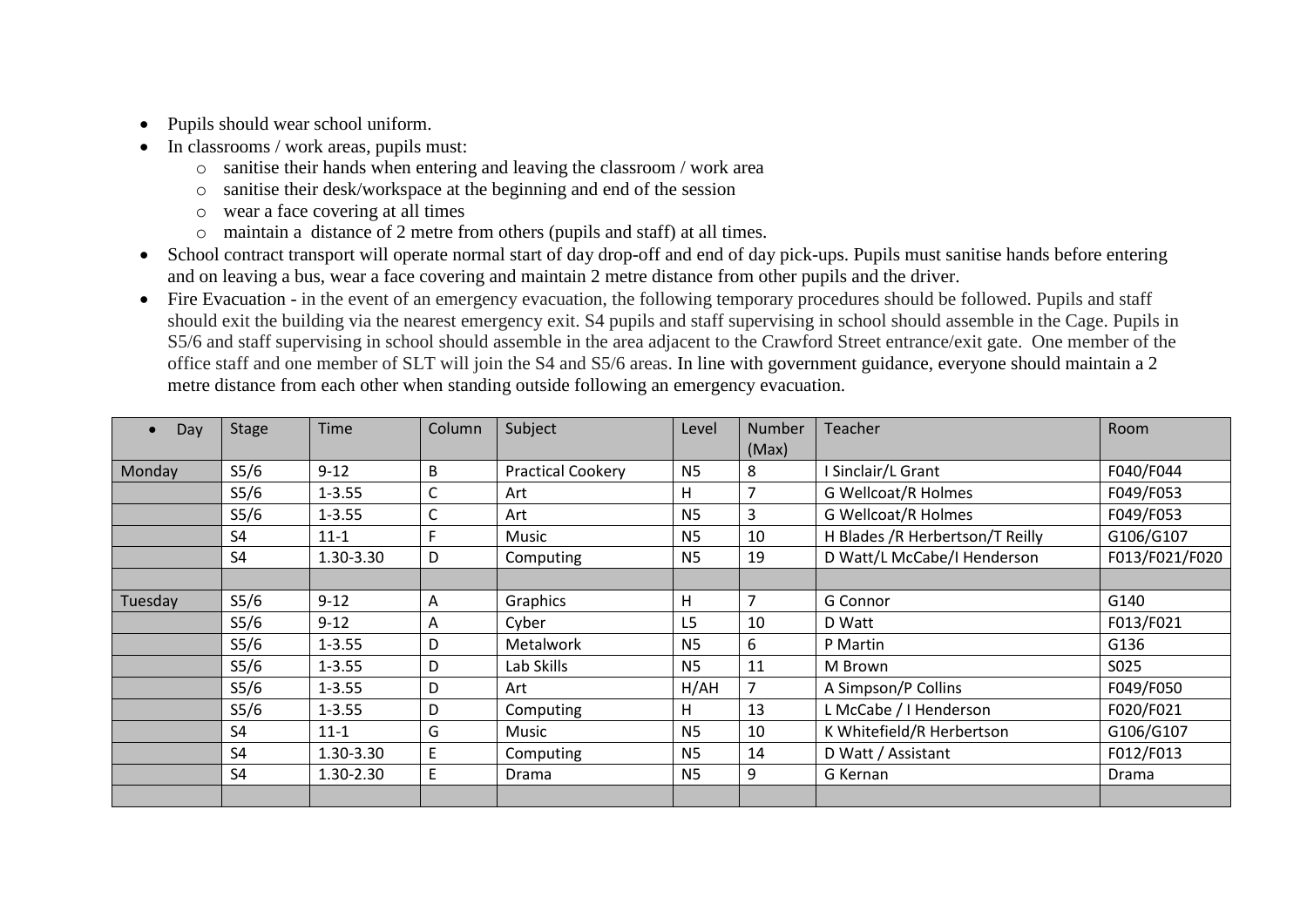- Pupils should wear school uniform.
- $\bullet$  In classrooms / work areas, pupils must:
	- o sanitise their hands when entering and leaving the classroom / work area
	- o sanitise their desk/workspace at the beginning and end of the session
	- o wear a face covering at all times
	- o maintain a distance of 2 metre from others (pupils and staff) at all times.
- School contract transport will operate normal start of day drop-off and end of day pick-ups. Pupils must sanitise hands before entering and on leaving a bus, wear a face covering and maintain 2 metre distance from other pupils and the driver.
- Fire Evacuation in the event of an emergency evacuation, the following temporary procedures should be followed. Pupils and staff should exit the building via the nearest emergency exit. S4 pupils and staff supervising in school should assemble in the Cage. Pupils in S5/6 and staff supervising in school should assemble in the area adjacent to the Crawford Street entrance/exit gate. One member of the office staff and one member of SLT will join the S4 and S5/6 areas. In line with government guidance, everyone should maintain a 2 metre distance from each other when standing outside following an emergency evacuation.

| Day     | <b>Stage</b>      | Time       | <b>Column</b> | Subject                  | Level          | Number         | <b>Teacher</b>                  | Room           |
|---------|-------------------|------------|---------------|--------------------------|----------------|----------------|---------------------------------|----------------|
|         |                   |            |               |                          |                | (Max)          |                                 |                |
| Monday  | S <sub>5</sub> /6 | $9 - 12$   | В             | <b>Practical Cookery</b> | <b>N5</b>      | 8              | Sinclair/L Grant                | F040/F044      |
|         | S <sub>5</sub> /6 | $1 - 3.55$ | С             | Art                      | H              | $\overline{7}$ | <b>G Wellcoat/R Holmes</b>      | F049/F053      |
|         | S <sub>5</sub> /6 | $1 - 3.55$ | C             | Art                      | <b>N5</b>      | 3              | <b>G Wellcoat/R Holmes</b>      | F049/F053      |
|         | S4                | $11 - 1$   |               | Music                    | <b>N5</b>      | 10             | H Blades /R Herbertson/T Reilly | G106/G107      |
|         | S <sub>4</sub>    | 1.30-3.30  | D             | Computing                | N <sub>5</sub> | 19             | D Watt/L McCabe/I Henderson     | F013/F021/F020 |
|         |                   |            |               |                          |                |                |                                 |                |
| Tuesday | S <sub>5</sub> /6 | $9 - 12$   | A             | Graphics                 | H              | $\overline{7}$ | G Connor                        | G140           |
|         | S <sub>5</sub> /6 | $9 - 12$   | A             | Cyber                    | L <sub>5</sub> | 10             | D Watt                          | F013/F021      |
|         | S <sub>5</sub> /6 | $1 - 3.55$ | D             | <b>Metalwork</b>         | <b>N5</b>      | 6              | P Martin                        | G136           |
|         | S <sub>5</sub> /6 | $1 - 3.55$ | D             | Lab Skills               | N <sub>5</sub> | 11             | M Brown                         | S025           |
|         | S <sub>5</sub> /6 | $1 - 3.55$ | D             | Art                      | H/AH           |                | A Simpson/P Collins             | F049/F050      |
|         | S <sub>5</sub> /6 | $1 - 3.55$ | D             | Computing                | H              | 13             | L McCabe / I Henderson          | F020/F021      |
|         | S <sub>4</sub>    | $11 - 1$   | G             | Music                    | <b>N5</b>      | 10             | K Whitefield/R Herbertson       | G106/G107      |
|         | S <sub>4</sub>    | 1.30-3.30  | E             | Computing                | N <sub>5</sub> | 14             | D Watt / Assistant              | F012/F013      |
|         | S <sub>4</sub>    | 1.30-2.30  | E.            | Drama                    | N <sub>5</sub> | 9              | G Kernan                        | Drama          |
|         |                   |            |               |                          |                |                |                                 |                |